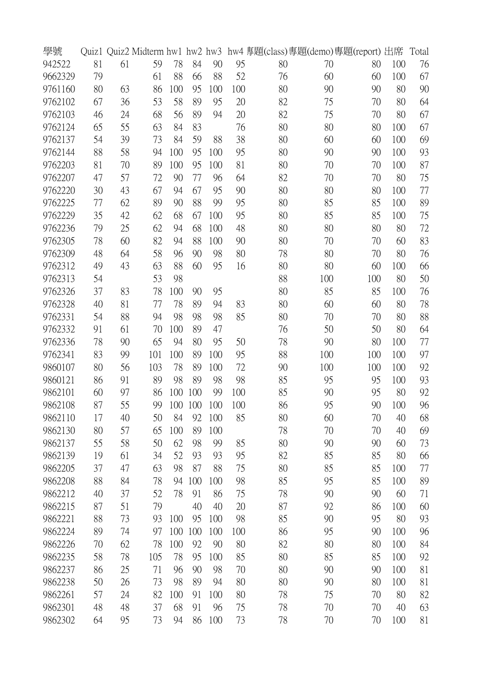| 學號      | Quiz1 |    | Quiz2 Midterm hw1 hw2 hw3 |     |     |     |     |    |     | hw4 專題(class)專題(demo)專題(report) 出席 |     | Total |
|---------|-------|----|---------------------------|-----|-----|-----|-----|----|-----|------------------------------------|-----|-------|
| 942522  | 81    | 61 | 59                        | 78  | 84  | 90  | 95  | 80 | 70  | 80                                 | 100 | 76    |
| 9662329 | 79    |    | 61                        | 88  | 66  | 88  | 52  | 76 | 60  | 60                                 | 100 | 67    |
| 9761160 | 80    | 63 | 86                        | 100 | 95  | 100 | 100 | 80 | 90  | 90                                 | 80  | 90    |
| 9762102 | 67    | 36 | 53                        | 58  | 89  | 95  | 20  | 82 | 75  | 70                                 | 80  | 64    |
| 9762103 | 46    | 24 | 68                        | 56  | 89  | 94  | 20  | 82 | 75  | 70                                 | 80  | 67    |
| 9762124 | 65    | 55 | 63                        | 84  | 83  |     | 76  | 80 | 80  | 80                                 | 100 | 67    |
| 9762137 | 54    | 39 | 73                        | 84  | 59  | 88  | 38  | 80 | 60  | 60                                 | 100 | 69    |
| 9762144 | 88    | 58 | 94                        | 100 | 95  | 100 | 95  | 80 | 90  | 90                                 | 100 | 93    |
| 9762203 | 81    | 70 | 89                        | 100 | 95  | 100 | 81  | 80 | 70  | 70                                 | 100 | 87    |
| 9762207 | 47    | 57 | 72                        | 90  | 77  | 96  | 64  | 82 | 70  | 70                                 | 80  | 75    |
| 9762220 | 30    | 43 | 67                        | 94  | 67  | 95  | 90  | 80 | 80  | 80                                 | 100 | 77    |
| 9762225 | 77    | 62 | 89                        | 90  | 88  | 99  | 95  | 80 | 85  | 85                                 | 100 | 89    |
| 9762229 | 35    | 42 | 62                        | 68  | 67  | 100 | 95  | 80 | 85  | 85                                 | 100 | 75    |
| 9762236 | 79    | 25 | 62                        | 94  | 68  | 100 | 48  | 80 | 80  | 80                                 | 80  | 72    |
| 9762305 | 78    | 60 | 82                        | 94  | 88  | 100 | 90  | 80 | 70  | 70                                 | 60  | 83    |
| 9762309 | 48    | 64 | 58                        | 96  | 90  | 98  | 80  | 78 | 80  | 70                                 | 80  | 76    |
| 9762312 | 49    | 43 | 63                        | 88  | 60  | 95  | 16  | 80 | 80  | 60                                 | 100 | 66    |
| 9762313 | 54    |    | 53                        | 98  |     |     |     | 88 | 100 | 100                                | 80  | 50    |
| 9762326 | 37    | 83 | 78                        | 100 | 90  | 95  |     | 80 | 85  | 85                                 | 100 | 76    |
| 9762328 | 40    | 81 | 77                        | 78  | 89  | 94  | 83  | 80 | 60  | 60                                 | 80  | 78    |
| 9762331 | 54    | 88 | 94                        | 98  | 98  | 98  | 85  | 80 | 70  | 70                                 | 80  | 88    |
| 9762332 | 91    | 61 | 70                        | 100 | 89  | 47  |     | 76 | 50  | 50                                 | 80  | 64    |
| 9762336 | 78    | 90 | 65                        | 94  | 80  | 95  | 50  | 78 | 90  | 80                                 | 100 | 77    |
| 9762341 | 83    | 99 | 101                       | 100 | 89  | 100 | 95  | 88 | 100 | 100                                | 100 | 97    |
| 9860107 | 80    | 56 | 103                       | 78  | 89  | 100 | 72  | 90 | 100 | 100                                | 100 | 92    |
| 9860121 | 86    | 91 | 89                        | 98  | 89  | 98  | 98  | 85 | 95  | 95                                 | 100 | 93    |
| 9862101 | 60    | 97 | 86                        | 100 | 100 | 99  | 100 | 85 | 90  | 95                                 | 80  | 92    |
| 9862108 | 87    | 55 | 99                        | 100 | 100 | 100 | 100 | 86 | 95  | 90                                 | 100 | 96    |
| 9862110 | 17    | 40 | 50                        | 84  | 92  | 100 | 85  | 80 | 60  | 70                                 | 40  | 68    |
| 9862130 | 80    | 57 | 65                        | 100 | 89  | 100 |     | 78 | 70  | 70                                 | 40  | 69    |
| 9862137 | 55    | 58 | 50                        | 62  | 98  | 99  | 85  | 80 | 90  | 90                                 | 60  | 73    |
| 9862139 | 19    | 61 | 34                        | 52  | 93  | 93  | 95  | 82 | 85  | 85                                 | 80  | 66    |
| 9862205 | 37    | 47 | 63                        | 98  | 87  | 88  | 75  | 80 | 85  | 85                                 | 100 | 77    |
| 9862208 | 88    | 84 | 78                        | 94  | 100 | 100 | 98  | 85 | 95  | 85                                 | 100 | 89    |
| 9862212 | 40    | 37 | 52                        | 78  | 91  | 86  | 75  | 78 | 90  | 90                                 | 60  | 71    |
| 9862215 | 87    | 51 | 79                        |     | 40  | 40  | 20  | 87 | 92  | 86                                 | 100 | 60    |
| 9862221 | 88    | 73 | 93                        | 100 | 95  | 100 | 98  | 85 | 90  | 95                                 | 80  | 93    |
| 9862224 | 89    | 74 | 97                        | 100 | 100 | 100 | 100 | 86 | 95  | 90                                 | 100 | 96    |
| 9862226 | 70    | 62 | 78                        | 100 | 92  | 90  | 80  | 82 | 80  | 80                                 | 100 | 84    |
| 9862235 | 58    | 78 | 105                       | 78  | 95  | 100 | 85  | 80 | 85  | 85                                 | 100 | 92    |
| 9862237 | 86    | 25 | 71                        | 96  | 90  | 98  | 70  | 80 | 90  | 90                                 | 100 | 81    |
| 9862238 | 50    | 26 | 73                        | 98  | 89  | 94  | 80  | 80 | 90  | 80                                 | 100 | 81    |
| 9862261 | 57    | 24 | 82                        | 100 | 91  | 100 | 80  | 78 | 75  | 70                                 | 80  | 82    |
| 9862301 | 48    | 48 | 37                        | 68  | 91  | 96  | 75  | 78 | 70  | 70                                 | 40  | 63    |
|         |       |    |                           |     |     |     |     |    |     |                                    |     |       |
| 9862302 | 64    | 95 | 73                        | 94  | 86  | 100 | 73  | 78 | 70  | 70                                 | 100 | 81    |